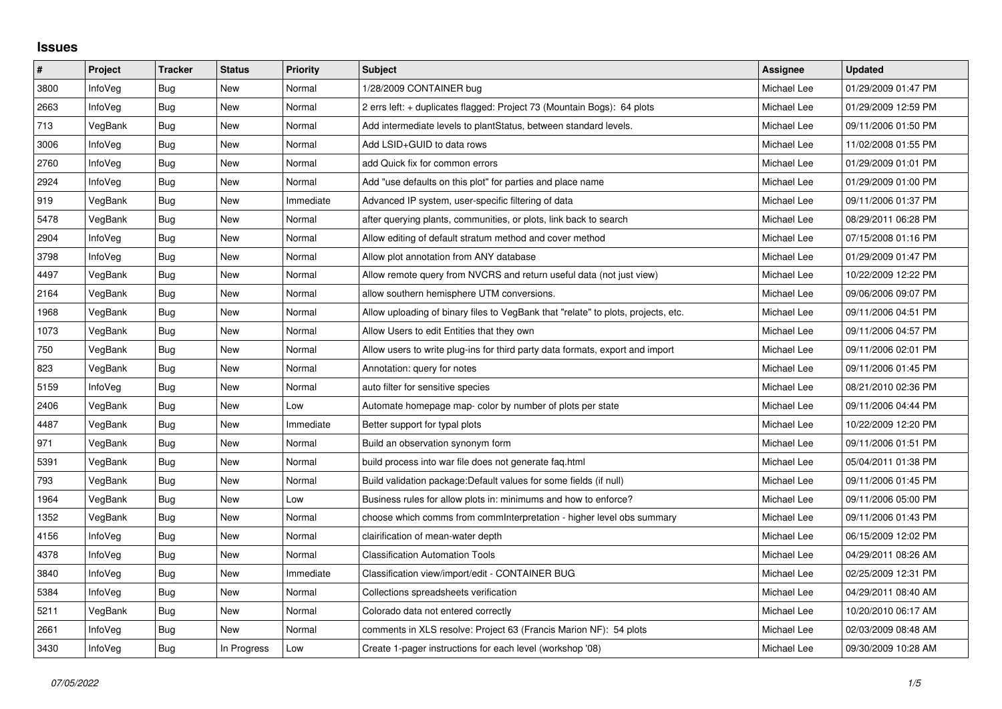## **Issues**

| $\vert$ # | Project        | <b>Tracker</b> | <b>Status</b> | <b>Priority</b> | <b>Subject</b>                                                                    | Assignee    | <b>Updated</b>      |
|-----------|----------------|----------------|---------------|-----------------|-----------------------------------------------------------------------------------|-------------|---------------------|
| 3800      | InfoVeg        | Bug            | <b>New</b>    | Normal          | 1/28/2009 CONTAINER bug                                                           | Michael Lee | 01/29/2009 01:47 PM |
| 2663      | InfoVeg        | Bug            | <b>New</b>    | Normal          | 2 errs left: + duplicates flagged: Project 73 (Mountain Bogs): 64 plots           | Michael Lee | 01/29/2009 12:59 PM |
| 713       | VegBank        | <b>Bug</b>     | <b>New</b>    | Normal          | Add intermediate levels to plantStatus, between standard levels.                  | Michael Lee | 09/11/2006 01:50 PM |
| 3006      | <b>InfoVeg</b> | Bug            | <b>New</b>    | Normal          | Add LSID+GUID to data rows                                                        | Michael Lee | 11/02/2008 01:55 PM |
| 2760      | InfoVeg        | Bug            | <b>New</b>    | Normal          | add Quick fix for common errors                                                   | Michael Lee | 01/29/2009 01:01 PM |
| 2924      | InfoVeg        | <b>Bug</b>     | New           | Normal          | Add "use defaults on this plot" for parties and place name                        | Michael Lee | 01/29/2009 01:00 PM |
| 919       | VegBank        | Bug            | <b>New</b>    | Immediate       | Advanced IP system, user-specific filtering of data                               | Michael Lee | 09/11/2006 01:37 PM |
| 5478      | VegBank        | Bug            | New           | Normal          | after querying plants, communities, or plots, link back to search                 | Michael Lee | 08/29/2011 06:28 PM |
| 2904      | InfoVeg        | Bug            | <b>New</b>    | Normal          | Allow editing of default stratum method and cover method                          | Michael Lee | 07/15/2008 01:16 PM |
| 3798      | InfoVea        | Bug            | New           | Normal          | Allow plot annotation from ANY database                                           | Michael Lee | 01/29/2009 01:47 PM |
| 4497      | VegBank        | Bug            | <b>New</b>    | Normal          | Allow remote query from NVCRS and return useful data (not just view)              | Michael Lee | 10/22/2009 12:22 PM |
| 2164      | VegBank        | Bug            | <b>New</b>    | Normal          | allow southern hemisphere UTM conversions.                                        | Michael Lee | 09/06/2006 09:07 PM |
| 1968      | VegBank        | Bug            | New           | Normal          | Allow uploading of binary files to VegBank that "relate" to plots, projects, etc. | Michael Lee | 09/11/2006 04:51 PM |
| 1073      | VegBank        | Bug            | <b>New</b>    | Normal          | Allow Users to edit Entities that they own                                        | Michael Lee | 09/11/2006 04:57 PM |
| 750       | VegBank        | Bug            | <b>New</b>    | Normal          | Allow users to write plug-ins for third party data formats, export and import     | Michael Lee | 09/11/2006 02:01 PM |
| 823       | VegBank        | Bug            | New           | Normal          | Annotation: query for notes                                                       | Michael Lee | 09/11/2006 01:45 PM |
| 5159      | InfoVeg        | Bug            | New           | Normal          | auto filter for sensitive species                                                 | Michael Lee | 08/21/2010 02:36 PM |
| 2406      | VegBank        | Bug            | <b>New</b>    | Low             | Automate homepage map- color by number of plots per state                         | Michael Lee | 09/11/2006 04:44 PM |
| 4487      | VegBank        | Bug            | New           | Immediate       | Better support for typal plots                                                    | Michael Lee | 10/22/2009 12:20 PM |
| 971       | VegBank        | Bug            | <b>New</b>    | Normal          | Build an observation synonym form                                                 | Michael Lee | 09/11/2006 01:51 PM |
| 5391      | VegBank        | <b>Bug</b>     | <b>New</b>    | Normal          | build process into war file does not generate fag.html                            | Michael Lee | 05/04/2011 01:38 PM |
| 793       | VegBank        | Bug            | <b>New</b>    | Normal          | Build validation package: Default values for some fields (if null)                | Michael Lee | 09/11/2006 01:45 PM |
| 1964      | VegBank        | Bug            | New           | Low             | Business rules for allow plots in: minimums and how to enforce?                   | Michael Lee | 09/11/2006 05:00 PM |
| 1352      | VegBank        | Bug            | <b>New</b>    | Normal          | choose which comms from comminterpretation - higher level obs summary             | Michael Lee | 09/11/2006 01:43 PM |
| 4156      | <b>InfoVeg</b> | <b>Bug</b>     | <b>New</b>    | Normal          | clairification of mean-water depth                                                | Michael Lee | 06/15/2009 12:02 PM |
| 4378      | <b>InfoVeg</b> | <b>Bug</b>     | <b>New</b>    | Normal          | Classification Automation Tools                                                   | Michael Lee | 04/29/2011 08:26 AM |
| 3840      | <b>InfoVeg</b> | Bug            | <b>New</b>    | Immediate       | Classification view/import/edit - CONTAINER BUG                                   | Michael Lee | 02/25/2009 12:31 PM |
| 5384      | <b>InfoVeg</b> | <b>Bug</b>     | <b>New</b>    | Normal          | Collections spreadsheets verification                                             | Michael Lee | 04/29/2011 08:40 AM |
| 5211      | VegBank        | <b>Bug</b>     | New           | Normal          | Colorado data not entered correctly                                               | Michael Lee | 10/20/2010 06:17 AM |
| 2661      | <b>InfoVeg</b> | <b>Bug</b>     | <b>New</b>    | Normal          | comments in XLS resolve: Project 63 (Francis Marion NF): 54 plots                 | Michael Lee | 02/03/2009 08:48 AM |
| 3430      | <b>InfoVeg</b> | <b>Bug</b>     | In Progress   | Low             | Create 1-pager instructions for each level (workshop '08)                         | Michael Lee | 09/30/2009 10:28 AM |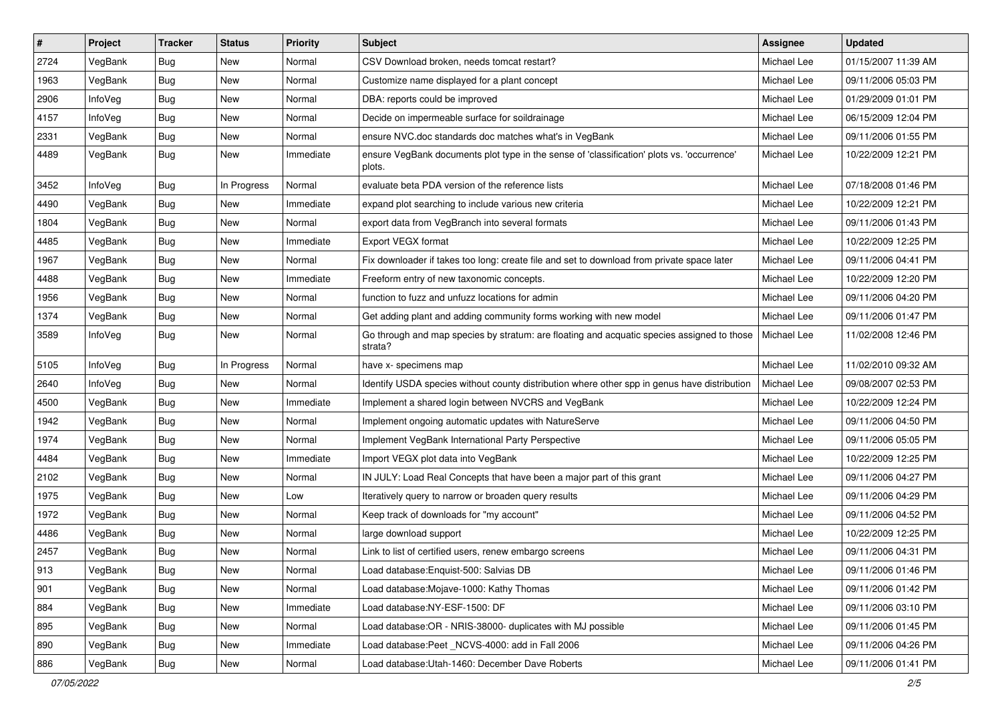| $\sharp$ | Project | <b>Tracker</b> | <b>Status</b> | <b>Priority</b> | <b>Subject</b>                                                                                        | Assignee    | <b>Updated</b>      |
|----------|---------|----------------|---------------|-----------------|-------------------------------------------------------------------------------------------------------|-------------|---------------------|
| 2724     | VegBank | <b>Bug</b>     | New           | Normal          | CSV Download broken, needs tomcat restart?                                                            | Michael Lee | 01/15/2007 11:39 AM |
| 1963     | VegBank | <b>Bug</b>     | <b>New</b>    | Normal          | Customize name displayed for a plant concept                                                          | Michael Lee | 09/11/2006 05:03 PM |
| 2906     | InfoVeg | <b>Bug</b>     | New           | Normal          | DBA: reports could be improved                                                                        | Michael Lee | 01/29/2009 01:01 PM |
| 4157     | InfoVeg | <b>Bug</b>     | <b>New</b>    | Normal          | Decide on impermeable surface for soildrainage                                                        | Michael Lee | 06/15/2009 12:04 PM |
| 2331     | VegBank | <b>Bug</b>     | <b>New</b>    | Normal          | ensure NVC.doc standards doc matches what's in VegBank                                                | Michael Lee | 09/11/2006 01:55 PM |
| 4489     | VegBank | <b>Bug</b>     | New           | Immediate       | ensure VegBank documents plot type in the sense of 'classification' plots vs. 'occurrence'<br>plots.  | Michael Lee | 10/22/2009 12:21 PM |
| 3452     | InfoVeg | <b>Bug</b>     | In Progress   | Normal          | evaluate beta PDA version of the reference lists                                                      | Michael Lee | 07/18/2008 01:46 PM |
| 4490     | VegBank | <b>Bug</b>     | New           | Immediate       | expand plot searching to include various new criteria                                                 | Michael Lee | 10/22/2009 12:21 PM |
| 1804     | VegBank | <b>Bug</b>     | <b>New</b>    | Normal          | export data from VegBranch into several formats                                                       | Michael Lee | 09/11/2006 01:43 PM |
| 4485     | VegBank | <b>Bug</b>     | New           | Immediate       | Export VEGX format                                                                                    | Michael Lee | 10/22/2009 12:25 PM |
| 1967     | VegBank | Bug            | <b>New</b>    | Normal          | Fix downloader if takes too long: create file and set to download from private space later            | Michael Lee | 09/11/2006 04:41 PM |
| 4488     | VegBank | <b>Bug</b>     | <b>New</b>    | Immediate       | Freeform entry of new taxonomic concepts.                                                             | Michael Lee | 10/22/2009 12:20 PM |
| 1956     | VegBank | <b>Bug</b>     | New           | Normal          | function to fuzz and unfuzz locations for admin                                                       | Michael Lee | 09/11/2006 04:20 PM |
| 1374     | VegBank | <b>Bug</b>     | <b>New</b>    | Normal          | Get adding plant and adding community forms working with new model                                    | Michael Lee | 09/11/2006 01:47 PM |
| 3589     | InfoVeg | <b>Bug</b>     | New           | Normal          | Go through and map species by stratum: are floating and acquatic species assigned to those<br>strata? | Michael Lee | 11/02/2008 12:46 PM |
| 5105     | InfoVeg | <b>Bug</b>     | In Progress   | Normal          | have x- specimens map                                                                                 | Michael Lee | 11/02/2010 09:32 AM |
| 2640     | InfoVeg | <b>Bug</b>     | New           | Normal          | Identify USDA species without county distribution where other spp in genus have distribution          | Michael Lee | 09/08/2007 02:53 PM |
| 4500     | VegBank | <b>Bug</b>     | <b>New</b>    | Immediate       | Implement a shared login between NVCRS and VegBank                                                    | Michael Lee | 10/22/2009 12:24 PM |
| 1942     | VegBank | <b>Bug</b>     | New           | Normal          | Implement ongoing automatic updates with NatureServe                                                  | Michael Lee | 09/11/2006 04:50 PM |
| 1974     | VegBank | <b>Bug</b>     | New           | Normal          | Implement VegBank International Party Perspective                                                     | Michael Lee | 09/11/2006 05:05 PM |
| 4484     | VegBank | <b>Bug</b>     | <b>New</b>    | Immediate       | Import VEGX plot data into VegBank                                                                    | Michael Lee | 10/22/2009 12:25 PM |
| 2102     | VegBank | <b>Bug</b>     | New           | Normal          | IN JULY: Load Real Concepts that have been a major part of this grant                                 | Michael Lee | 09/11/2006 04:27 PM |
| 1975     | VegBank | <b>Bug</b>     | New           | Low             | Iteratively query to narrow or broaden query results                                                  | Michael Lee | 09/11/2006 04:29 PM |
| 1972     | VegBank | <b>Bug</b>     | <b>New</b>    | Normal          | Keep track of downloads for "my account"                                                              | Michael Lee | 09/11/2006 04:52 PM |
| 4486     | VegBank | <b>Bug</b>     | New           | Normal          | large download support                                                                                | Michael Lee | 10/22/2009 12:25 PM |
| 2457     | VegBank | <b>Bug</b>     | New           | Normal          | Link to list of certified users, renew embargo screens                                                | Michael Lee | 09/11/2006 04:31 PM |
| 913      | VegBank | Bug            | New           | Normal          | Load database: Enquist-500: Salvias DB                                                                | Michael Lee | 09/11/2006 01:46 PM |
| 901      | VegBank | <b>Bug</b>     | New           | Normal          | Load database: Mojave-1000: Kathy Thomas                                                              | Michael Lee | 09/11/2006 01:42 PM |
| 884      | VegBank | <b>Bug</b>     | New           | Immediate       | Load database:NY-ESF-1500: DF                                                                         | Michael Lee | 09/11/2006 03:10 PM |
| 895      | VegBank | <b>Bug</b>     | New           | Normal          | Load database:OR - NRIS-38000- duplicates with MJ possible                                            | Michael Lee | 09/11/2006 01:45 PM |
| 890      | VegBank | <b>Bug</b>     | New           | Immediate       | Load database:Peet _NCVS-4000: add in Fall 2006                                                       | Michael Lee | 09/11/2006 04:26 PM |
| 886      | VegBank | <b>Bug</b>     | New           | Normal          | Load database: Utah-1460: December Dave Roberts                                                       | Michael Lee | 09/11/2006 01:41 PM |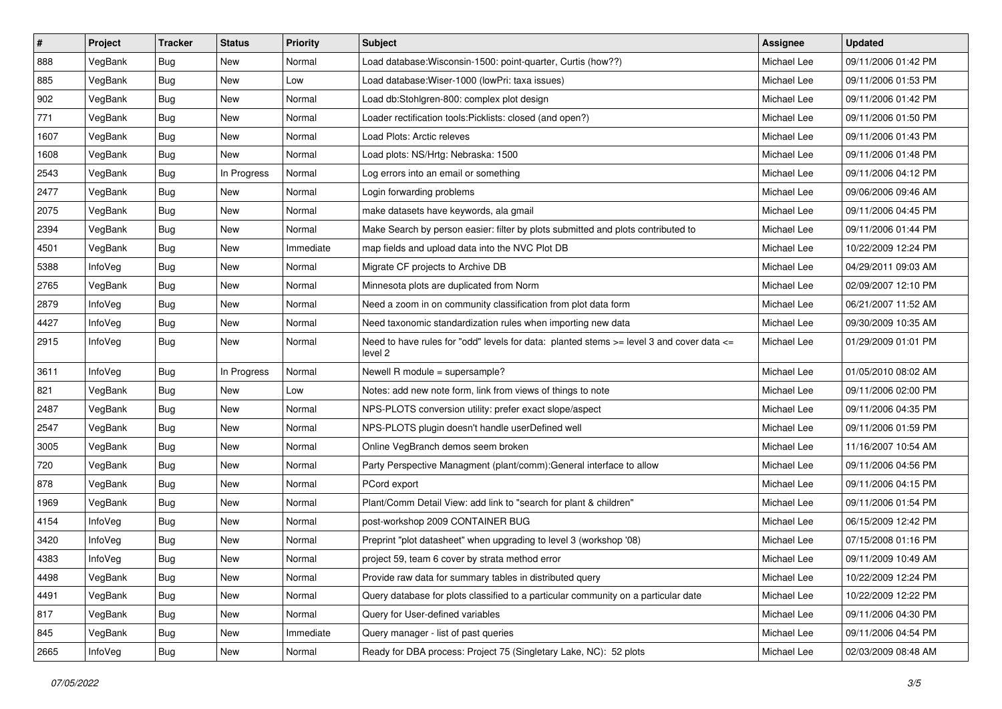| $\sharp$ | Project        | <b>Tracker</b> | <b>Status</b> | <b>Priority</b> | <b>Subject</b>                                                                                          | Assignee    | <b>Updated</b>      |
|----------|----------------|----------------|---------------|-----------------|---------------------------------------------------------------------------------------------------------|-------------|---------------------|
| 888      | VegBank        | <b>Bug</b>     | New           | Normal          | Load database: Wisconsin-1500: point-quarter, Curtis (how??)                                            | Michael Lee | 09/11/2006 01:42 PM |
| 885      | VegBank        | <b>Bug</b>     | New           | Low             | Load database: Wiser-1000 (lowPri: taxa issues)                                                         | Michael Lee | 09/11/2006 01:53 PM |
| 902      | VegBank        | <b>Bug</b>     | New           | Normal          | Load db:Stohlgren-800: complex plot design                                                              | Michael Lee | 09/11/2006 01:42 PM |
| 771      | VegBank        | Bug            | New           | Normal          | Loader rectification tools: Picklists: closed (and open?)                                               | Michael Lee | 09/11/2006 01:50 PM |
| 1607     | VegBank        | <b>Bug</b>     | New           | Normal          | Load Plots: Arctic releves                                                                              | Michael Lee | 09/11/2006 01:43 PM |
| 1608     | VegBank        | <b>Bug</b>     | New           | Normal          | Load plots: NS/Hrtg: Nebraska: 1500                                                                     | Michael Lee | 09/11/2006 01:48 PM |
| 2543     | VegBank        | Bug            | In Progress   | Normal          | Log errors into an email or something                                                                   | Michael Lee | 09/11/2006 04:12 PM |
| 2477     | VegBank        | <b>Bug</b>     | New           | Normal          | Login forwarding problems                                                                               | Michael Lee | 09/06/2006 09:46 AM |
| 2075     | VegBank        | <b>Bug</b>     | New           | Normal          | make datasets have keywords, ala gmail                                                                  | Michael Lee | 09/11/2006 04:45 PM |
| 2394     | VegBank        | <b>Bug</b>     | New           | Normal          | Make Search by person easier: filter by plots submitted and plots contributed to                        | Michael Lee | 09/11/2006 01:44 PM |
| 4501     | VegBank        | <b>Bug</b>     | New           | Immediate       | map fields and upload data into the NVC Plot DB                                                         | Michael Lee | 10/22/2009 12:24 PM |
| 5388     | <b>InfoVeg</b> | <b>Bug</b>     | New           | Normal          | Migrate CF projects to Archive DB                                                                       | Michael Lee | 04/29/2011 09:03 AM |
| 2765     | VegBank        | <b>Bug</b>     | New           | Normal          | Minnesota plots are duplicated from Norm                                                                | Michael Lee | 02/09/2007 12:10 PM |
| 2879     | <b>InfoVeg</b> | <b>Bug</b>     | New           | Normal          | Need a zoom in on community classification from plot data form                                          | Michael Lee | 06/21/2007 11:52 AM |
| 4427     | InfoVeg        | <b>Bug</b>     | New           | Normal          | Need taxonomic standardization rules when importing new data                                            | Michael Lee | 09/30/2009 10:35 AM |
| 2915     | <b>InfoVeg</b> | <b>Bug</b>     | New           | Normal          | Need to have rules for "odd" levels for data: planted stems $>=$ level 3 and cover data $<=$<br>level 2 | Michael Lee | 01/29/2009 01:01 PM |
| 3611     | InfoVeg        | <b>Bug</b>     | In Progress   | Normal          | Newell R module = supersample?                                                                          | Michael Lee | 01/05/2010 08:02 AM |
| 821      | VegBank        | <b>Bug</b>     | New           | Low             | Notes: add new note form, link from views of things to note                                             | Michael Lee | 09/11/2006 02:00 PM |
| 2487     | VegBank        | Bug            | New           | Normal          | NPS-PLOTS conversion utility: prefer exact slope/aspect                                                 | Michael Lee | 09/11/2006 04:35 PM |
| 2547     | VegBank        | <b>Bug</b>     | New           | Normal          | NPS-PLOTS plugin doesn't handle userDefined well                                                        | Michael Lee | 09/11/2006 01:59 PM |
| 3005     | VegBank        | <b>Bug</b>     | New           | Normal          | Online VegBranch demos seem broken                                                                      | Michael Lee | 11/16/2007 10:54 AM |
| 720      | VegBank        | <b>Bug</b>     | New           | Normal          | Party Perspective Managment (plant/comm): General interface to allow                                    | Michael Lee | 09/11/2006 04:56 PM |
| 878      | VegBank        | <b>Bug</b>     | New           | Normal          | PCord export                                                                                            | Michael Lee | 09/11/2006 04:15 PM |
| 1969     | VegBank        | Bug            | New           | Normal          | Plant/Comm Detail View: add link to "search for plant & children"                                       | Michael Lee | 09/11/2006 01:54 PM |
| 4154     | InfoVeg        | <b>Bug</b>     | New           | Normal          | post-workshop 2009 CONTAINER BUG                                                                        | Michael Lee | 06/15/2009 12:42 PM |
| 3420     | InfoVeg        | <b>Bug</b>     | New           | Normal          | Preprint "plot datasheet" when upgrading to level 3 (workshop '08)                                      | Michael Lee | 07/15/2008 01:16 PM |
| 4383     | <b>InfoVeg</b> | <b>Bug</b>     | New           | Normal          | project 59, team 6 cover by strata method error                                                         | Michael Lee | 09/11/2009 10:49 AM |
| 4498     | VegBank        | <b>Bug</b>     | New           | Normal          | Provide raw data for summary tables in distributed query                                                | Michael Lee | 10/22/2009 12:24 PM |
| 4491     | VegBank        | <b>Bug</b>     | New           | Normal          | Query database for plots classified to a particular community on a particular date                      | Michael Lee | 10/22/2009 12:22 PM |
| 817      | VegBank        | <b>Bug</b>     | New           | Normal          | Query for User-defined variables                                                                        | Michael Lee | 09/11/2006 04:30 PM |
| 845      | VegBank        | <b>Bug</b>     | New           | Immediate       | Query manager - list of past queries                                                                    | Michael Lee | 09/11/2006 04:54 PM |
| 2665     | InfoVeg        | <b>Bug</b>     | New           | Normal          | Ready for DBA process: Project 75 (Singletary Lake, NC): 52 plots                                       | Michael Lee | 02/03/2009 08:48 AM |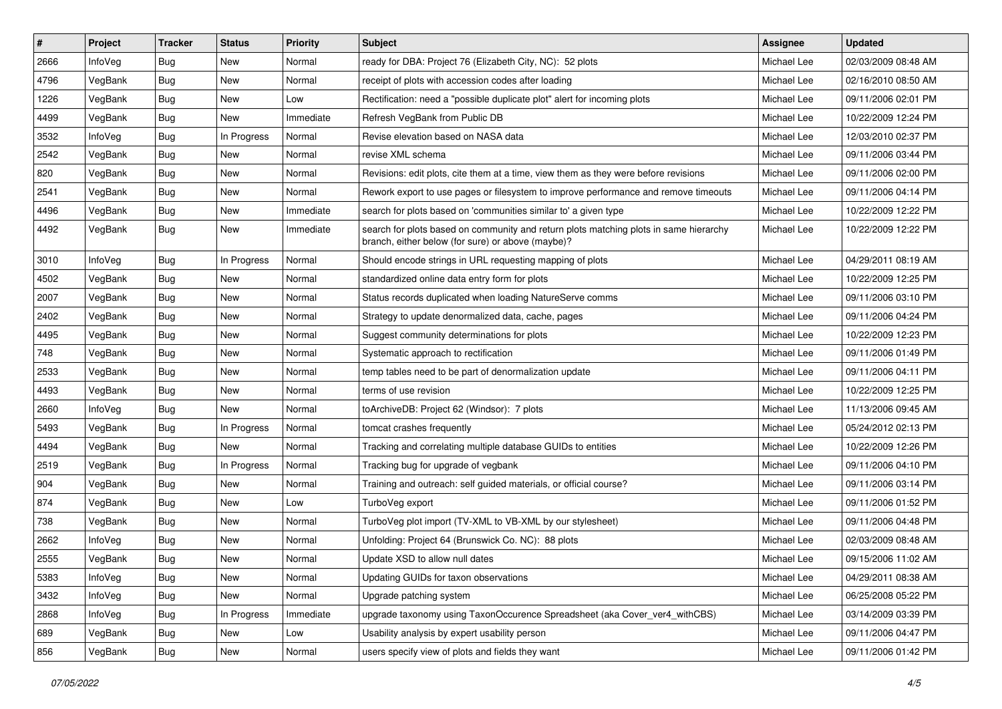| $\vert$ # | Project        | <b>Tracker</b> | <b>Status</b> | <b>Priority</b> | <b>Subject</b>                                                                                                                             | Assignee    | <b>Updated</b>      |
|-----------|----------------|----------------|---------------|-----------------|--------------------------------------------------------------------------------------------------------------------------------------------|-------------|---------------------|
| 2666      | <b>InfoVeg</b> | <b>Bug</b>     | New           | Normal          | ready for DBA: Project 76 (Elizabeth City, NC): 52 plots                                                                                   | Michael Lee | 02/03/2009 08:48 AM |
| 4796      | VegBank        | <b>Bug</b>     | New           | Normal          | receipt of plots with accession codes after loading                                                                                        | Michael Lee | 02/16/2010 08:50 AM |
| 1226      | VegBank        | <b>Bug</b>     | New           | Low             | Rectification: need a "possible duplicate plot" alert for incoming plots                                                                   | Michael Lee | 09/11/2006 02:01 PM |
| 4499      | VegBank        | Bug            | New           | Immediate       | Refresh VegBank from Public DB                                                                                                             | Michael Lee | 10/22/2009 12:24 PM |
| 3532      | InfoVeg        | <b>Bug</b>     | In Progress   | Normal          | Revise elevation based on NASA data                                                                                                        | Michael Lee | 12/03/2010 02:37 PM |
| 2542      | VegBank        | <b>Bug</b>     | New           | Normal          | revise XML schema                                                                                                                          | Michael Lee | 09/11/2006 03:44 PM |
| 820       | VegBank        | <b>Bug</b>     | New           | Normal          | Revisions: edit plots, cite them at a time, view them as they were before revisions                                                        | Michael Lee | 09/11/2006 02:00 PM |
| 2541      | VegBank        | Bug            | New           | Normal          | Rework export to use pages or filesystem to improve performance and remove timeouts                                                        | Michael Lee | 09/11/2006 04:14 PM |
| 4496      | VegBank        | <b>Bug</b>     | New           | Immediate       | search for plots based on 'communities similar to' a given type                                                                            | Michael Lee | 10/22/2009 12:22 PM |
| 4492      | VegBank        | <b>Bug</b>     | New           | Immediate       | search for plots based on community and return plots matching plots in same hierarchy<br>branch, either below (for sure) or above (maybe)? | Michael Lee | 10/22/2009 12:22 PM |
| 3010      | InfoVeg        | <b>Bug</b>     | In Progress   | Normal          | Should encode strings in URL requesting mapping of plots                                                                                   | Michael Lee | 04/29/2011 08:19 AM |
| 4502      | VegBank        | <b>Bug</b>     | New           | Normal          | standardized online data entry form for plots                                                                                              | Michael Lee | 10/22/2009 12:25 PM |
| 2007      | VegBank        | <b>Bug</b>     | New           | Normal          | Status records duplicated when loading NatureServe comms                                                                                   | Michael Lee | 09/11/2006 03:10 PM |
| 2402      | VegBank        | <b>Bug</b>     | New           | Normal          | Strategy to update denormalized data, cache, pages                                                                                         | Michael Lee | 09/11/2006 04:24 PM |
| 4495      | VegBank        | Bug            | New           | Normal          | Suggest community determinations for plots                                                                                                 | Michael Lee | 10/22/2009 12:23 PM |
| 748       | VegBank        | Bug            | New           | Normal          | Systematic approach to rectification                                                                                                       | Michael Lee | 09/11/2006 01:49 PM |
| 2533      | VegBank        | <b>Bug</b>     | New           | Normal          | temp tables need to be part of denormalization update                                                                                      | Michael Lee | 09/11/2006 04:11 PM |
| 4493      | VegBank        | <b>Bug</b>     | New           | Normal          | terms of use revision                                                                                                                      | Michael Lee | 10/22/2009 12:25 PM |
| 2660      | <b>InfoVeg</b> | <b>Bug</b>     | <b>New</b>    | Normal          | toArchiveDB: Project 62 (Windsor): 7 plots                                                                                                 | Michael Lee | 11/13/2006 09:45 AM |
| 5493      | VegBank        | <b>Bug</b>     | In Progress   | Normal          | tomcat crashes frequently                                                                                                                  | Michael Lee | 05/24/2012 02:13 PM |
| 4494      | VegBank        | <b>Bug</b>     | New           | Normal          | Tracking and correlating multiple database GUIDs to entities                                                                               | Michael Lee | 10/22/2009 12:26 PM |
| 2519      | VegBank        | <b>Bug</b>     | In Progress   | Normal          | Tracking bug for upgrade of vegbank                                                                                                        | Michael Lee | 09/11/2006 04:10 PM |
| 904       | VegBank        | <b>Bug</b>     | New           | Normal          | Training and outreach: self guided materials, or official course?                                                                          | Michael Lee | 09/11/2006 03:14 PM |
| 874       | VegBank        | Bug            | <b>New</b>    | Low             | TurboVeg export                                                                                                                            | Michael Lee | 09/11/2006 01:52 PM |
| 738       | VegBank        | <b>Bug</b>     | <b>New</b>    | Normal          | TurboVeg plot import (TV-XML to VB-XML by our stylesheet)                                                                                  | Michael Lee | 09/11/2006 04:48 PM |
| 2662      | InfoVeg        | <b>Bug</b>     | New           | Normal          | Unfolding: Project 64 (Brunswick Co. NC): 88 plots                                                                                         | Michael Lee | 02/03/2009 08:48 AM |
| 2555      | VegBank        | <b>Bug</b>     | New           | Normal          | Update XSD to allow null dates                                                                                                             | Michael Lee | 09/15/2006 11:02 AM |
| 5383      | InfoVeg        | <b>Bug</b>     | New           | Normal          | Updating GUIDs for taxon observations                                                                                                      | Michael Lee | 04/29/2011 08:38 AM |
| 3432      | InfoVeg        | <b>Bug</b>     | New           | Normal          | Upgrade patching system                                                                                                                    | Michael Lee | 06/25/2008 05:22 PM |
| 2868      | InfoVeg        | <b>Bug</b>     | In Progress   | Immediate       | upgrade taxonomy using TaxonOccurence Spreadsheet (aka Cover_ver4_withCBS)                                                                 | Michael Lee | 03/14/2009 03:39 PM |
| 689       | VegBank        | <b>Bug</b>     | New           | Low             | Usability analysis by expert usability person                                                                                              | Michael Lee | 09/11/2006 04:47 PM |
| 856       | VegBank        | <b>Bug</b>     | New           | Normal          | users specify view of plots and fields they want                                                                                           | Michael Lee | 09/11/2006 01:42 PM |